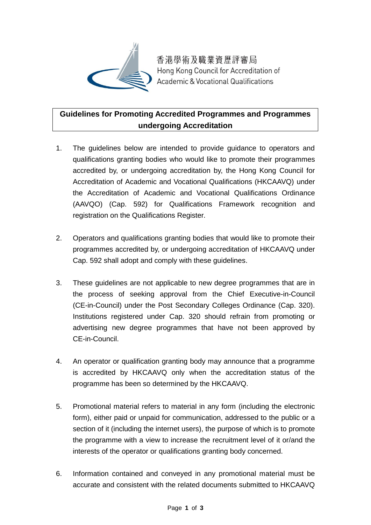

香港學術及職業資歷評審局 Hong Kong Council for Accreditation of **Academic & Vocational Qualifications** 

## **Guidelines for Promoting Accredited Programmes and Programmes undergoing Accreditation**

- 1. The guidelines below are intended to provide guidance to operators and qualifications granting bodies who would like to promote their programmes accredited by, or undergoing accreditation by, the Hong Kong Council for Accreditation of Academic and Vocational Qualifications (HKCAAVQ) under the Accreditation of Academic and Vocational Qualifications Ordinance (AAVQO) (Cap. 592) for Qualifications Framework recognition and registration on the Qualifications Register.
- 2. Operators and qualifications granting bodies that would like to promote their programmes accredited by, or undergoing accreditation of HKCAAVQ under Cap. 592 shall adopt and comply with these guidelines.
- 3. These guidelines are not applicable to new degree programmes that are in the process of seeking approval from the Chief Executive-in-Council (CE-in-Council) under the Post Secondary Colleges Ordinance (Cap. 320). Institutions registered under Cap. 320 should refrain from promoting or advertising new degree programmes that have not been approved by CE-in-Council.
- 4. An operator or qualification granting body may announce that a programme is accredited by HKCAAVQ only when the accreditation status of the programme has been so determined by the HKCAAVQ.
- 5. Promotional material refers to material in any form (including the electronic form), either paid or unpaid for communication, addressed to the public or a section of it (including the internet users), the purpose of which is to promote the programme with a view to increase the recruitment level of it or/and the interests of the operator or qualifications granting body concerned.
- 6. Information contained and conveyed in any promotional material must be accurate and consistent with the related documents submitted to HKCAAVQ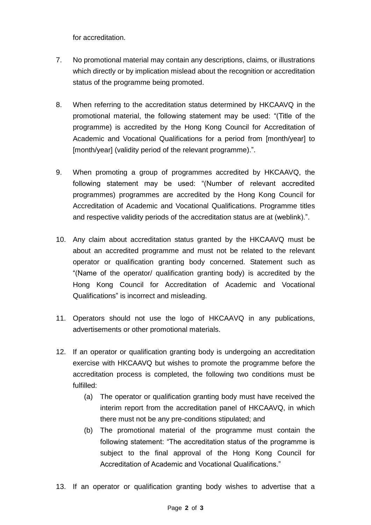for accreditation.

- 7. No promotional material may contain any descriptions, claims, or illustrations which directly or by implication mislead about the recognition or accreditation status of the programme being promoted.
- 8. When referring to the accreditation status determined by HKCAAVQ in the promotional material, the following statement may be used: "(Title of the programme) is accredited by the Hong Kong Council for Accreditation of Academic and Vocational Qualifications for a period from [month/year] to [month/year] (validity period of the relevant programme).".
- 9. When promoting a group of programmes accredited by HKCAAVQ, the following statement may be used: "(Number of relevant accredited programmes) programmes are accredited by the Hong Kong Council for Accreditation of Academic and Vocational Qualifications. Programme titles and respective validity periods of the accreditation status are at (weblink).".
- 10. Any claim about accreditation status granted by the HKCAAVQ must be about an accredited programme and must not be related to the relevant operator or qualification granting body concerned. Statement such as "(Name of the operator/ qualification granting body) is accredited by the Hong Kong Council for Accreditation of Academic and Vocational Qualifications" is incorrect and misleading.
- 11. Operators should not use the logo of HKCAAVQ in any publications, advertisements or other promotional materials.
- 12. If an operator or qualification granting body is undergoing an accreditation exercise with HKCAAVQ but wishes to promote the programme before the accreditation process is completed, the following two conditions must be fulfilled:
	- (a) The operator or qualification granting body must have received the interim report from the accreditation panel of HKCAAVQ, in which there must not be any pre-conditions stipulated; and
	- (b) The promotional material of the programme must contain the following statement: "The accreditation status of the programme is subject to the final approval of the Hong Kong Council for Accreditation of Academic and Vocational Qualifications."
- 13. If an operator or qualification granting body wishes to advertise that a